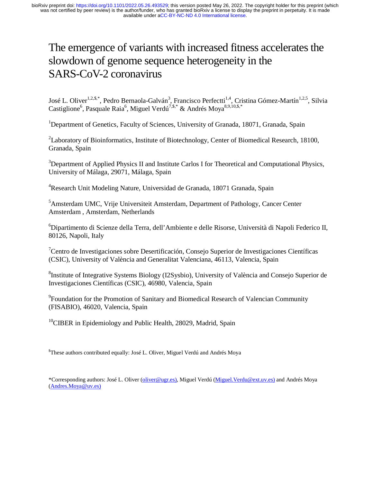# The emergence of variants with increased fitness accelerates the slowdown of genome sequence heterogeneity in the SARS-CoV-2 coronavirus

José L. Oliver<sup>1,2,\$,\*</sup>, Pedro Bernaola-Galván<sup>3</sup>, Francisco Perfectti<sup>1,4</sup>, Cristina Gómez-Martín<sup>1,2,5</sup>, Silvia Castiglione<sup>6</sup>, Pasquale Raia<sup>6</sup>, Miguel Verdú<sup>7,\$,\*</sup> & Andrés Moya<sup>8,9,10,\$,\*</sup>

<sup>1</sup>Department of Genetics, Faculty of Sciences, University of Granada, 18071, Granada, Spain

<sup>2</sup>Laboratory of Bioinformatics, Institute of Biotechnology, Center of Biomedical Research, 18100, Granada, Spain

<sup>3</sup>Department of Applied Physics II and Institute Carlos I for Theoretical and Computational Physics, University of Málaga, 29071, Málaga, Spain

<sup>4</sup>Research Unit Modeling Nature, Universidad de Granada, 18071 Granada, Spain

5 Amsterdam UMC, Vrije Universiteit Amsterdam, Department of Pathology, Cancer Center Amsterdam , Amsterdam, Netherlands

6 Dipartimento di Scienze della Terra, dell'Ambiente e delle Risorse, Università di Napoli Federico II, 80126, Napoli, Italy

<sup>7</sup> Centro de Investigaciones sobre Desertificación, Consejo Superior de Investigaciones Científicas (CSIC), University of València and Generalitat Valenciana, 46113, Valencia, Spain

<sup>8</sup>Institute of Integrative Systems Biology (I2Sysbio), University of València and Consejo Superior de Investigaciones Científicas (CSIC), 46980, Valencia, Spain

<sup>9</sup> Foundation for the Promotion of Sanitary and Biomedical Research of Valencian Community (FISABIO), 46020, Valencia, Spain

<sup>10</sup>CIBER in Epidemiology and Public Health, 28029, Madrid, Spain

\$ These authors contributed equally: José L. Oliver, Miguel Verdú and Andrés Moya

\*Corresponding authors: José L. Oliver (oliver@ugr.es), Miguel Verdú (Miguel.Verdu@ext.uv.es) and Andrés Moya (Andres.Moya@uv.es)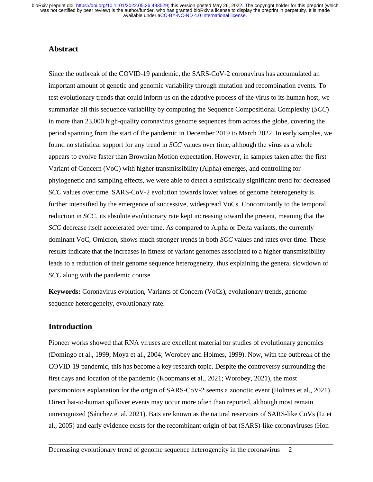## **Abstract**

Since the outbreak of the COVID-19 pandemic, the SARS-CoV-2 coronavirus has accumulated an important amount of genetic and genomic variability through mutation and recombination events. To test evolutionary trends that could inform us on the adaptive process of the virus to its human host, we summarize all this sequence variability by computing the Sequence Compositional Complexity (*SCC*) in more than 23,000 high-quality coronavirus genome sequences from across the globe, covering the period spanning from the start of the pandemic in December 2019 to March 2022. In early samples, we found no statistical support for any trend in *SCC* values over time, although the virus as a whole appears to evolve faster than Brownian Motion expectation. However, in samples taken after the first Variant of Concern (VoC) with higher transmissibility (Alpha) emerges, and controlling for phylogenetic and sampling effects, we were able to detect a statistically significant trend for decreased *SCC* values over time. SARS-CoV-2 evolution towards lower values of genome heterogeneity is further intensified by the emergence of successive, widespread VoCs. Concomitantly to the temporal reduction in *SCC*, its absolute evolutionary rate kept increasing toward the present, meaning that the *SCC* decrease itself accelerated over time. As compared to Alpha or Delta variants, the currently dominant VoC, Omicron, shows much stronger trends in both *SCC* values and rates over time. These results indicate that the increases in fitness of variant genomes associated to a higher transmissibility leads to a reduction of their genome sequence heterogeneity, thus explaining the general slowdown of *SCC* along with the pandemic course.

**Keywords:** Coronavirus evolution, Variants of Concern (VoCs), evolutionary trends, genome sequence heterogeneity, evolutionary rate.

## **Introduction**

Pioneer works showed that RNA viruses are excellent material for studies of evolutionary genomics (Domingo et al., 1999; Moya et al., 2004; Worobey and Holmes, 1999). Now, with the outbreak of the COVID-19 pandemic, this has become a key research topic. Despite the controversy surrounding the first days and location of the pandemic (Koopmans et al., 2021; Worobey, 2021), the most parsimonious explanation for the origin of SARS-CoV-2 seems a zoonotic event (Holmes et al., 2021). Direct bat-to-human spillover events may occur more often than reported, although most remain unrecognized (Sánchez et al. 2021). Bats are known as the natural reservoirs of SARS-like CoVs (Li et al., 2005) and early evidence exists for the recombinant origin of bat (SARS)-like coronaviruses (Hon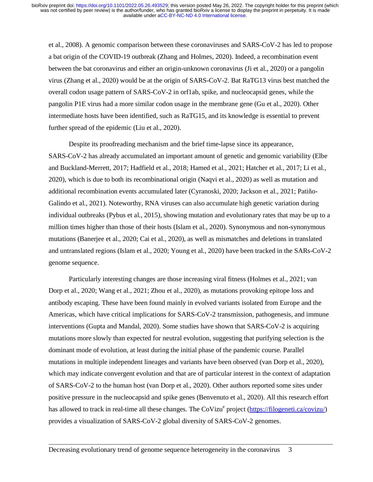et al., 2008). A genomic comparison between these coronaviruses and SARS-CoV-2 has led to propose a bat origin of the COVID-19 outbreak (Zhang and Holmes, 2020). Indeed, a recombination event between the bat coronavirus and either an origin-unknown coronavirus (Ji et al., 2020) or a pangolin virus (Zhang et al., 2020) would be at the origin of SARS-CoV-2. Bat RaTG13 virus best matched the overall codon usage pattern of SARS-CoV-2 in orf1ab, spike, and nucleocapsid genes, while the pangolin P1E virus had a more similar codon usage in the membrane gene (Gu et al., 2020). Other intermediate hosts have been identified, such as RaTG15, and its knowledge is essential to prevent further spread of the epidemic (Liu et al., 2020).

Despite its proofreading mechanism and the brief time-lapse since its appearance, SARS-CoV-2 has already accumulated an important amount of genetic and genomic variability (Elbe and Buckland-Merrett, 2017; Hadfield et al., 2018; Hamed et al., 2021; Hatcher et al., 2017; Li et al., 2020), which is due to both its recombinational origin (Naqvi et al., 2020) as well as mutation and additional recombination events accumulated later (Cyranoski, 2020; Jackson et al., 2021; Patiño-Galindo et al., 2021). Noteworthy, RNA viruses can also accumulate high genetic variation during individual outbreaks (Pybus et al., 2015), showing mutation and evolutionary rates that may be up to a million times higher than those of their hosts (Islam et al., 2020). Synonymous and non-synonymous mutations (Banerjee et al., 2020; Cai et al., 2020), as well as mismatches and deletions in translated and untranslated regions (Islam et al., 2020; Young et al., 2020) have been tracked in the SARs-CoV-2 genome sequence.

Particularly interesting changes are those increasing viral fitness (Holmes et al., 2021; van Dorp et al., 2020; Wang et al., 2021; Zhou et al., 2020), as mutations provoking epitope loss and antibody escaping. These have been found mainly in evolved variants isolated from Europe and the Americas, which have critical implications for SARS-CoV-2 transmission, pathogenesis, and immune interventions (Gupta and Mandal, 2020). Some studies have shown that SARS-CoV-2 is acquiring mutations more slowly than expected for neutral evolution, suggesting that purifying selection is the dominant mode of evolution, at least during the initial phase of the pandemic course. Parallel mutations in multiple independent lineages and variants have been observed (van Dorp et al., 2020), which may indicate convergent evolution and that are of particular interest in the context of adaptation of SARS-CoV-2 to the human host (van Dorp et al., 2020). Other authors reported some sites under positive pressure in the nucleocapsid and spike genes (Benvenuto et al., 2020). All this research effort has allowed to track in real-time all these changes. The CoVizu<sup>e</sup> project (*https://filogeneti.ca/covizu/*) provides a visualization of SARS-CoV-2 global diversity of SARS-CoV-2 genomes.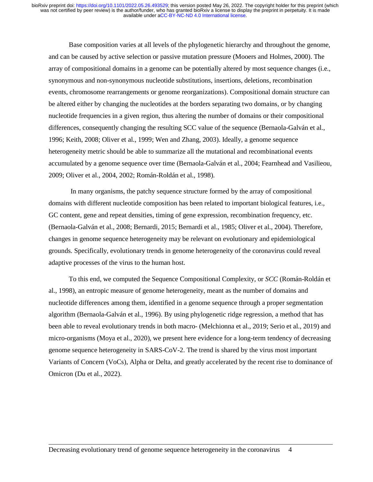Base composition varies at all levels of the phylogenetic hierarchy and throughout the genome, and can be caused by active selection or passive mutation pressure (Mooers and Holmes, 2000). The array of compositional domains in a genome can be potentially altered by most sequence changes (i.e., synonymous and non-synonymous nucleotide substitutions, insertions, deletions, recombination events, chromosome rearrangements or genome reorganizations). Compositional domain structure can be altered either by changing the nucleotides at the borders separating two domains, or by changing nucleotide frequencies in a given region, thus altering the number of domains or their compositional differences, consequently changing the resulting SCC value of the sequence (Bernaola-Galván et al., 1996; Keith, 2008; Oliver et al., 1999; Wen and Zhang, 2003). Ideally, a genome sequence heterogeneity metric should be able to summarize all the mutational and recombinational events accumulated by a genome sequence over time (Bernaola-Galván et al., 2004; Fearnhead and Vasilieou, 2009; Oliver et al., 2004, 2002; Román-Roldán et al., 1998).

 In many organisms, the patchy sequence structure formed by the array of compositional domains with different nucleotide composition has been related to important biological features, i.e., GC content, gene and repeat densities, timing of gene expression, recombination frequency, etc. (Bernaola-Galván et al., 2008; Bernardi, 2015; Bernardi et al., 1985; Oliver et al., 2004). Therefore, changes in genome sequence heterogeneity may be relevant on evolutionary and epidemiological grounds. Specifically, evolutionary trends in genome heterogeneity of the coronavirus could reveal adaptive processes of the virus to the human host.

To this end, we computed the Sequence Compositional Complexity, or *SCC* (Román-Roldán et al., 1998), an entropic measure of genome heterogeneity, meant as the number of domains and nucleotide differences among them, identified in a genome sequence through a proper segmentation algorithm (Bernaola-Galván et al., 1996). By using phylogenetic ridge regression, a method that has been able to reveal evolutionary trends in both macro- (Melchionna et al., 2019; Serio et al., 2019) and micro-organisms (Moya et al., 2020), we present here evidence for a long-term tendency of decreasing genome sequence heterogeneity in SARS-CoV-2. The trend is shared by the virus most important Variants of Concern (VoCs), Alpha or Delta, and greatly accelerated by the recent rise to dominance of Omicron (Du et al., 2022).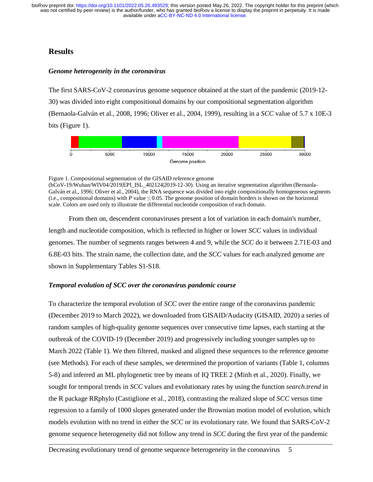# **Results**

#### *Genome heterogeneity in the coronavirus*

The first SARS-CoV-2 coronavirus genome sequence obtained at the start of the pandemic (2019-12- 30) was divided into eight compositional domains by our compositional segmentation algorithm (Bernaola-Galván et al., 2008, 1996; Oliver et al., 2004, 1999), resulting in a *SCC* value of 5.7 x 10E-3 bits (Figure 1).



Figure 1. Compositional segmentation of the GISAID reference genome

(hCoV-19/Wuhan/WIV04/2019|EPI\_ISL\_402124|2019-12-30). Using an iterative segmentation algorithm (Bernaola-Galván et al., 1996; Oliver et al., 2004), the RNA sequence was divided into eight compositionally homogeneous segments (i.e., compositional domains) with *P* value  $\leq 0.05$ . The genome position of domain borders is shown on the horizontal scale. Colors are used only to illustrate the differential nucleotide composition of each domain.

From then on, descendent coronaviruses present a lot of variation in each domain's number, length and nucleotide composition, which is reflected in higher or lower *SCC* values in individual genomes. The number of segments ranges between 4 and 9, while the *SCC* do it between 2.71E-03 and 6.8E-03 bits. The strain name, the collection date, and the *SCC* values for each analyzed genome are shown in Supplementary Tables S1-S18.

## *Temporal evolution of SCC over the coronavirus pandemic course*

To characterize the temporal evolution of *SCC* over the entire range of the coronavirus pandemic (December 2019 to March 2022), we downloaded from GISAID/Audacity (GISAID, 2020) a series of random samples of high-quality genome sequences over consecutive time lapses, each starting at the outbreak of the COVID-19 (December 2019) and progressively including younger samples up to March 2022 (Table 1). We then filtered, masked and aligned these sequences to the reference genome (see Methods). For each of these samples, we determined the proportion of variants (Table 1, columns 5-8) and inferred an ML phylogenetic tree by means of IQ TREE 2 (Minh et al., 2020). Finally, we sought for temporal trends in *SCC* values and evolutionary rates by using the function *search.trend* in the R package RRphylo (Castiglione et al., 2018), contrasting the realized slope of *SCC* versus time regression to a family of 1000 slopes generated under the Brownian motion model of evolution, which models evolution with no trend in either the *SCC* or its evolutionary rate. We found that SARS-CoV-2 genome sequence heterogeneity did not follow any trend in *SCC* during the first year of the pandemic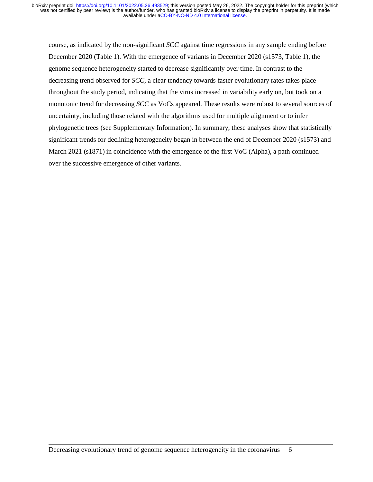course, as indicated by the non-significant *SCC* against time regressions in any sample ending before December 2020 (Table 1). With the emergence of variants in December 2020 (s1573, Table 1), the genome sequence heterogeneity started to decrease significantly over time. In contrast to the decreasing trend observed for *SCC*, a clear tendency towards faster evolutionary rates takes place throughout the study period, indicating that the virus increased in variability early on, but took on a monotonic trend for decreasing *SCC* as VoCs appeared. These results were robust to several sources of uncertainty, including those related with the algorithms used for multiple alignment or to infer phylogenetic trees (see Supplementary Information). In summary, these analyses show that statistically significant trends for declining heterogeneity began in between the end of December 2020 (s1573) and March 2021 (s1871) in coincidence with the emergence of the first VoC (Alpha), a path continued over the successive emergence of other variants.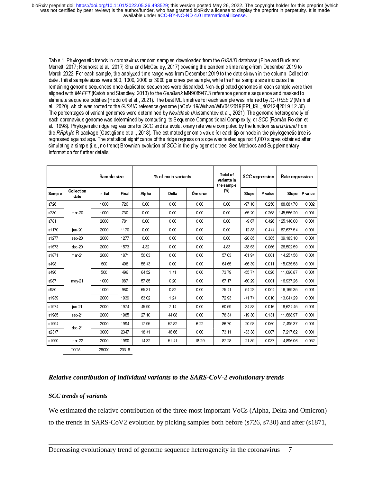| Collection<br>Sample<br>date<br>s726<br>s730<br>$mar-20$<br>s781<br>s1170<br>jun 20<br>s1277<br>sep-20<br>s1573<br>dec-20<br>s1871<br>mar 21<br>s498<br>s496<br>s987<br>may 21<br>s980<br>s1939<br>s1974<br>jun-21<br>s1985<br>sep-21<br>s1994<br>dec.21<br>s2347<br>$mar-22$<br>s1990<br>TOTAL:<br>Relative contribution of individual variants to the SARS-CoV-2 evolutionary trends<br><b>SCC</b> trends of variants<br>We estimated the relative contribution of the three most important VoCs (Alpha, Delta and Omicr | Information for further details. |                         |                     |                       |                       |                         | March 2022. For each sample, the analyzed time range was from December 2019 to the date shown in the column 'Collection<br>date'. Initial sample sizes were 500, 1000, 2000 or 3000 genomes per sample, while the final sample size indicates the<br>remaining genome sequences once duplicated sequences were discarded. Non-duplicated genomes in each sample were then<br>aligned with MAFFT (Katoh and Standley, 2013) to the GenBank MN908947.3 reference genome sequence and masked to<br>eliminate sequence oddities (Hodcroft et al., 2021). The best ML timetree for each sample was inferred by IQ-TREE 2 (Minh et<br>al., 2020), which was rooted to the GISAID reference genome (hCoV-19/Wuhan/WIV04/2019 EPI_ISL_402124 2019-12-30).<br>The percentages of variant genomes were determined by Nextclade (Aksamentov et al., 2021). The genome heterogeneity of<br>each coronavirus genome was determined by computing its Sequence Compositional Complexity, or SCC (Román-Roldán et<br>al., 1998). Phylogenetic ridge regressions for SCC and its evolutionary rate were computed by the function search trend from<br>the RRphylo R package (Castiglione et al., 2018). The estimated genomic value for each tip or node in the phylogenetic tree is<br>regressed against age. The statistical significance of the ridge regression slope was tested against 1,000 slopes obtained after<br>simulating a simple (i.e., no-trend) Brownian evolution of SCC in the phylogenetic tree. See Methods and Supplementary |                             |                           | Merrett, 2017; Koehorst et al., 2017; Shu and McCauley, 2017) covering the pandemic time range from December 2019 to |                           |
|----------------------------------------------------------------------------------------------------------------------------------------------------------------------------------------------------------------------------------------------------------------------------------------------------------------------------------------------------------------------------------------------------------------------------------------------------------------------------------------------------------------------------|----------------------------------|-------------------------|---------------------|-----------------------|-----------------------|-------------------------|-----------------------------------------------------------------------------------------------------------------------------------------------------------------------------------------------------------------------------------------------------------------------------------------------------------------------------------------------------------------------------------------------------------------------------------------------------------------------------------------------------------------------------------------------------------------------------------------------------------------------------------------------------------------------------------------------------------------------------------------------------------------------------------------------------------------------------------------------------------------------------------------------------------------------------------------------------------------------------------------------------------------------------------------------------------------------------------------------------------------------------------------------------------------------------------------------------------------------------------------------------------------------------------------------------------------------------------------------------------------------------------------------------------------------------------------------------------------------------------------------------------------------------------|-----------------------------|---------------------------|----------------------------------------------------------------------------------------------------------------------|---------------------------|
|                                                                                                                                                                                                                                                                                                                                                                                                                                                                                                                            |                                  | Sample size             |                     |                       | % of main variants    |                         | Total of<br>variants in<br>the sample<br>(%)                                                                                                                                                                                                                                                                                                                                                                                                                                                                                                                                                                                                                                                                                                                                                                                                                                                                                                                                                                                                                                                                                                                                                                                                                                                                                                                                                                                                                                                                                      |                             | <b>SCC</b> regression     | Rate regression                                                                                                      |                           |
|                                                                                                                                                                                                                                                                                                                                                                                                                                                                                                                            |                                  | Initial<br>1000<br>1000 | Final<br>726<br>730 | Alpha<br>0.00<br>0.00 | Delta<br>0.00<br>0.00 | Ómicron<br>0.00<br>0.00 | $0.00\,$<br>0.00                                                                                                                                                                                                                                                                                                                                                                                                                                                                                                                                                                                                                                                                                                                                                                                                                                                                                                                                                                                                                                                                                                                                                                                                                                                                                                                                                                                                                                                                                                                  | Slope<br>$-97.10$<br>-65.20 | P value<br>0.250<br>0.268 | Slope<br>88,684.70<br>145,566.20                                                                                     | P value<br>0.002<br>0.001 |
|                                                                                                                                                                                                                                                                                                                                                                                                                                                                                                                            |                                  | 2000<br>2000            | 781<br>1170         | 0.00<br>0.00          | 0.00<br>0.00          | 0.00<br>0.00            | 0.00<br>0.00                                                                                                                                                                                                                                                                                                                                                                                                                                                                                                                                                                                                                                                                                                                                                                                                                                                                                                                                                                                                                                                                                                                                                                                                                                                                                                                                                                                                                                                                                                                      | $-9.67$<br>12.83            | 0.426<br>0.444            | 125, 140.00<br>87,637.54                                                                                             | 0.001<br>0.001            |
|                                                                                                                                                                                                                                                                                                                                                                                                                                                                                                                            |                                  | 2000<br>2000            | 1277<br>1573        | 0.00<br>4.32          | 0.00<br>0.00          | 0.00<br>0.00            | 0.00<br>4.83                                                                                                                                                                                                                                                                                                                                                                                                                                                                                                                                                                                                                                                                                                                                                                                                                                                                                                                                                                                                                                                                                                                                                                                                                                                                                                                                                                                                                                                                                                                      | $-20.85$<br>-38.53          | 0.305<br>0.066            | 39, 183. 10<br>26,502.59                                                                                             | 0.001<br>0.001            |
|                                                                                                                                                                                                                                                                                                                                                                                                                                                                                                                            |                                  | 2000<br>500             | 1871<br>498         | 50.03<br>56.43        | 0.00<br>0.00          | 0.00<br>0.00            | 57.03<br>64.65                                                                                                                                                                                                                                                                                                                                                                                                                                                                                                                                                                                                                                                                                                                                                                                                                                                                                                                                                                                                                                                                                                                                                                                                                                                                                                                                                                                                                                                                                                                    | 61.94<br>$-66.39$           | 0.001<br>0.011            | 14,254.56<br>15,035.58                                                                                               | 0.001<br>0.001            |
|                                                                                                                                                                                                                                                                                                                                                                                                                                                                                                                            |                                  | 500<br>1000             | 496<br>987          | 64.52<br>57.85        | 1.41<br>0.20          | 0.00<br>0.00            | 73.79<br>67.17                                                                                                                                                                                                                                                                                                                                                                                                                                                                                                                                                                                                                                                                                                                                                                                                                                                                                                                                                                                                                                                                                                                                                                                                                                                                                                                                                                                                                                                                                                                    | -5574<br>$-60.29$           | 0.026<br>0.001            | 11,090.87<br>16 937 26                                                                                               | 0.001<br>0.001            |
|                                                                                                                                                                                                                                                                                                                                                                                                                                                                                                                            |                                  | 1000<br>2000            | 980<br>1939         | 65.31<br>63.02        | 0.82<br>1.24          | 0.00<br>0.00            | 75.41<br>72.93                                                                                                                                                                                                                                                                                                                                                                                                                                                                                                                                                                                                                                                                                                                                                                                                                                                                                                                                                                                                                                                                                                                                                                                                                                                                                                                                                                                                                                                                                                                    | $-54.23$<br>$-41.74$        | 0.004<br>0.010            | 16, 169 35<br>13,044.29                                                                                              | 0.001<br>0.001            |
|                                                                                                                                                                                                                                                                                                                                                                                                                                                                                                                            |                                  | 2000<br>2000            | 1974<br>1985        | 45.90<br>27.10        | 7.14<br>44.08         | 0.00<br>0.00            | 60.59<br>78.34                                                                                                                                                                                                                                                                                                                                                                                                                                                                                                                                                                                                                                                                                                                                                                                                                                                                                                                                                                                                                                                                                                                                                                                                                                                                                                                                                                                                                                                                                                                    | 3483<br>$-19.30$            | 0.016<br>0.131            | 18,624.45<br>11,688.97                                                                                               | 0.001<br>0.001            |
|                                                                                                                                                                                                                                                                                                                                                                                                                                                                                                                            |                                  | 2000<br>3000            | 1994<br>2347        | 17.95<br>18.41        | 57.82<br>46.66        | 6.22<br>0.00            | 86.70<br>73.11                                                                                                                                                                                                                                                                                                                                                                                                                                                                                                                                                                                                                                                                                                                                                                                                                                                                                                                                                                                                                                                                                                                                                                                                                                                                                                                                                                                                                                                                                                                    | $-20.93$<br>33 38           | 0.060<br>0.007            | 7,495.37<br>7,217.62                                                                                                 | 0.001<br>0.001            |
|                                                                                                                                                                                                                                                                                                                                                                                                                                                                                                                            |                                  | 2000<br>28000           | 1990<br>23318       | 14.32                 | 51.41                 | 18.29                   | 87.28                                                                                                                                                                                                                                                                                                                                                                                                                                                                                                                                                                                                                                                                                                                                                                                                                                                                                                                                                                                                                                                                                                                                                                                                                                                                                                                                                                                                                                                                                                                             | $-21.89$                    | 0.037                     | 4,896.06                                                                                                             | 0.052                     |
|                                                                                                                                                                                                                                                                                                                                                                                                                                                                                                                            |                                  |                         |                     |                       |                       |                         | to the trends in SARS-CoV2 evolution by picking samples both before (s726, s730) and after (s18<br>Decreasing evolutionary trend of genome sequence heterogeneity in the coronavirus                                                                                                                                                                                                                                                                                                                                                                                                                                                                                                                                                                                                                                                                                                                                                                                                                                                                                                                                                                                                                                                                                                                                                                                                                                                                                                                                              |                             |                           | 7                                                                                                                    |                           |
|                                                                                                                                                                                                                                                                                                                                                                                                                                                                                                                            |                                  |                         |                     |                       |                       |                         |                                                                                                                                                                                                                                                                                                                                                                                                                                                                                                                                                                                                                                                                                                                                                                                                                                                                                                                                                                                                                                                                                                                                                                                                                                                                                                                                                                                                                                                                                                                                   |                             |                           |                                                                                                                      |                           |
|                                                                                                                                                                                                                                                                                                                                                                                                                                                                                                                            |                                  |                         |                     |                       |                       |                         |                                                                                                                                                                                                                                                                                                                                                                                                                                                                                                                                                                                                                                                                                                                                                                                                                                                                                                                                                                                                                                                                                                                                                                                                                                                                                                                                                                                                                                                                                                                                   |                             |                           |                                                                                                                      |                           |
|                                                                                                                                                                                                                                                                                                                                                                                                                                                                                                                            |                                  |                         |                     |                       |                       |                         |                                                                                                                                                                                                                                                                                                                                                                                                                                                                                                                                                                                                                                                                                                                                                                                                                                                                                                                                                                                                                                                                                                                                                                                                                                                                                                                                                                                                                                                                                                                                   |                             |                           |                                                                                                                      |                           |
|                                                                                                                                                                                                                                                                                                                                                                                                                                                                                                                            |                                  |                         |                     |                       |                       |                         |                                                                                                                                                                                                                                                                                                                                                                                                                                                                                                                                                                                                                                                                                                                                                                                                                                                                                                                                                                                                                                                                                                                                                                                                                                                                                                                                                                                                                                                                                                                                   |                             |                           |                                                                                                                      |                           |
|                                                                                                                                                                                                                                                                                                                                                                                                                                                                                                                            |                                  |                         |                     |                       |                       |                         |                                                                                                                                                                                                                                                                                                                                                                                                                                                                                                                                                                                                                                                                                                                                                                                                                                                                                                                                                                                                                                                                                                                                                                                                                                                                                                                                                                                                                                                                                                                                   |                             |                           |                                                                                                                      |                           |
|                                                                                                                                                                                                                                                                                                                                                                                                                                                                                                                            |                                  |                         |                     |                       |                       |                         |                                                                                                                                                                                                                                                                                                                                                                                                                                                                                                                                                                                                                                                                                                                                                                                                                                                                                                                                                                                                                                                                                                                                                                                                                                                                                                                                                                                                                                                                                                                                   |                             |                           |                                                                                                                      |                           |
|                                                                                                                                                                                                                                                                                                                                                                                                                                                                                                                            |                                  |                         |                     |                       |                       |                         |                                                                                                                                                                                                                                                                                                                                                                                                                                                                                                                                                                                                                                                                                                                                                                                                                                                                                                                                                                                                                                                                                                                                                                                                                                                                                                                                                                                                                                                                                                                                   |                             |                           |                                                                                                                      |                           |
|                                                                                                                                                                                                                                                                                                                                                                                                                                                                                                                            |                                  |                         |                     |                       |                       |                         |                                                                                                                                                                                                                                                                                                                                                                                                                                                                                                                                                                                                                                                                                                                                                                                                                                                                                                                                                                                                                                                                                                                                                                                                                                                                                                                                                                                                                                                                                                                                   |                             |                           |                                                                                                                      |                           |
|                                                                                                                                                                                                                                                                                                                                                                                                                                                                                                                            |                                  |                         |                     |                       |                       |                         |                                                                                                                                                                                                                                                                                                                                                                                                                                                                                                                                                                                                                                                                                                                                                                                                                                                                                                                                                                                                                                                                                                                                                                                                                                                                                                                                                                                                                                                                                                                                   |                             |                           |                                                                                                                      |                           |
|                                                                                                                                                                                                                                                                                                                                                                                                                                                                                                                            |                                  |                         |                     |                       |                       |                         |                                                                                                                                                                                                                                                                                                                                                                                                                                                                                                                                                                                                                                                                                                                                                                                                                                                                                                                                                                                                                                                                                                                                                                                                                                                                                                                                                                                                                                                                                                                                   |                             |                           |                                                                                                                      |                           |
|                                                                                                                                                                                                                                                                                                                                                                                                                                                                                                                            |                                  |                         |                     |                       |                       |                         |                                                                                                                                                                                                                                                                                                                                                                                                                                                                                                                                                                                                                                                                                                                                                                                                                                                                                                                                                                                                                                                                                                                                                                                                                                                                                                                                                                                                                                                                                                                                   |                             |                           |                                                                                                                      |                           |
|                                                                                                                                                                                                                                                                                                                                                                                                                                                                                                                            |                                  |                         |                     |                       |                       |                         |                                                                                                                                                                                                                                                                                                                                                                                                                                                                                                                                                                                                                                                                                                                                                                                                                                                                                                                                                                                                                                                                                                                                                                                                                                                                                                                                                                                                                                                                                                                                   |                             |                           |                                                                                                                      |                           |
|                                                                                                                                                                                                                                                                                                                                                                                                                                                                                                                            |                                  |                         |                     |                       |                       |                         |                                                                                                                                                                                                                                                                                                                                                                                                                                                                                                                                                                                                                                                                                                                                                                                                                                                                                                                                                                                                                                                                                                                                                                                                                                                                                                                                                                                                                                                                                                                                   |                             |                           |                                                                                                                      |                           |
|                                                                                                                                                                                                                                                                                                                                                                                                                                                                                                                            |                                  |                         |                     |                       |                       |                         |                                                                                                                                                                                                                                                                                                                                                                                                                                                                                                                                                                                                                                                                                                                                                                                                                                                                                                                                                                                                                                                                                                                                                                                                                                                                                                                                                                                                                                                                                                                                   |                             |                           |                                                                                                                      |                           |
|                                                                                                                                                                                                                                                                                                                                                                                                                                                                                                                            |                                  |                         |                     |                       |                       |                         |                                                                                                                                                                                                                                                                                                                                                                                                                                                                                                                                                                                                                                                                                                                                                                                                                                                                                                                                                                                                                                                                                                                                                                                                                                                                                                                                                                                                                                                                                                                                   |                             |                           |                                                                                                                      |                           |
|                                                                                                                                                                                                                                                                                                                                                                                                                                                                                                                            |                                  |                         |                     |                       |                       |                         |                                                                                                                                                                                                                                                                                                                                                                                                                                                                                                                                                                                                                                                                                                                                                                                                                                                                                                                                                                                                                                                                                                                                                                                                                                                                                                                                                                                                                                                                                                                                   |                             |                           |                                                                                                                      |                           |
|                                                                                                                                                                                                                                                                                                                                                                                                                                                                                                                            |                                  |                         |                     |                       |                       |                         |                                                                                                                                                                                                                                                                                                                                                                                                                                                                                                                                                                                                                                                                                                                                                                                                                                                                                                                                                                                                                                                                                                                                                                                                                                                                                                                                                                                                                                                                                                                                   |                             |                           |                                                                                                                      |                           |
|                                                                                                                                                                                                                                                                                                                                                                                                                                                                                                                            |                                  |                         |                     |                       |                       |                         |                                                                                                                                                                                                                                                                                                                                                                                                                                                                                                                                                                                                                                                                                                                                                                                                                                                                                                                                                                                                                                                                                                                                                                                                                                                                                                                                                                                                                                                                                                                                   |                             |                           |                                                                                                                      |                           |
|                                                                                                                                                                                                                                                                                                                                                                                                                                                                                                                            |                                  |                         |                     |                       |                       |                         |                                                                                                                                                                                                                                                                                                                                                                                                                                                                                                                                                                                                                                                                                                                                                                                                                                                                                                                                                                                                                                                                                                                                                                                                                                                                                                                                                                                                                                                                                                                                   |                             |                           |                                                                                                                      |                           |
|                                                                                                                                                                                                                                                                                                                                                                                                                                                                                                                            |                                  |                         |                     |                       |                       |                         |                                                                                                                                                                                                                                                                                                                                                                                                                                                                                                                                                                                                                                                                                                                                                                                                                                                                                                                                                                                                                                                                                                                                                                                                                                                                                                                                                                                                                                                                                                                                   |                             |                           |                                                                                                                      |                           |
|                                                                                                                                                                                                                                                                                                                                                                                                                                                                                                                            |                                  |                         |                     |                       |                       |                         |                                                                                                                                                                                                                                                                                                                                                                                                                                                                                                                                                                                                                                                                                                                                                                                                                                                                                                                                                                                                                                                                                                                                                                                                                                                                                                                                                                                                                                                                                                                                   |                             |                           |                                                                                                                      |                           |
|                                                                                                                                                                                                                                                                                                                                                                                                                                                                                                                            |                                  |                         |                     |                       |                       |                         |                                                                                                                                                                                                                                                                                                                                                                                                                                                                                                                                                                                                                                                                                                                                                                                                                                                                                                                                                                                                                                                                                                                                                                                                                                                                                                                                                                                                                                                                                                                                   |                             |                           |                                                                                                                      |                           |
|                                                                                                                                                                                                                                                                                                                                                                                                                                                                                                                            |                                  |                         |                     |                       |                       |                         |                                                                                                                                                                                                                                                                                                                                                                                                                                                                                                                                                                                                                                                                                                                                                                                                                                                                                                                                                                                                                                                                                                                                                                                                                                                                                                                                                                                                                                                                                                                                   |                             |                           |                                                                                                                      |                           |
|                                                                                                                                                                                                                                                                                                                                                                                                                                                                                                                            |                                  |                         |                     |                       |                       |                         |                                                                                                                                                                                                                                                                                                                                                                                                                                                                                                                                                                                                                                                                                                                                                                                                                                                                                                                                                                                                                                                                                                                                                                                                                                                                                                                                                                                                                                                                                                                                   |                             |                           |                                                                                                                      |                           |
|                                                                                                                                                                                                                                                                                                                                                                                                                                                                                                                            |                                  |                         |                     |                       |                       |                         |                                                                                                                                                                                                                                                                                                                                                                                                                                                                                                                                                                                                                                                                                                                                                                                                                                                                                                                                                                                                                                                                                                                                                                                                                                                                                                                                                                                                                                                                                                                                   |                             |                           |                                                                                                                      |                           |
|                                                                                                                                                                                                                                                                                                                                                                                                                                                                                                                            |                                  |                         |                     |                       |                       |                         |                                                                                                                                                                                                                                                                                                                                                                                                                                                                                                                                                                                                                                                                                                                                                                                                                                                                                                                                                                                                                                                                                                                                                                                                                                                                                                                                                                                                                                                                                                                                   |                             |                           |                                                                                                                      |                           |
|                                                                                                                                                                                                                                                                                                                                                                                                                                                                                                                            |                                  |                         |                     |                       |                       |                         |                                                                                                                                                                                                                                                                                                                                                                                                                                                                                                                                                                                                                                                                                                                                                                                                                                                                                                                                                                                                                                                                                                                                                                                                                                                                                                                                                                                                                                                                                                                                   |                             |                           |                                                                                                                      |                           |
|                                                                                                                                                                                                                                                                                                                                                                                                                                                                                                                            |                                  |                         |                     |                       |                       |                         |                                                                                                                                                                                                                                                                                                                                                                                                                                                                                                                                                                                                                                                                                                                                                                                                                                                                                                                                                                                                                                                                                                                                                                                                                                                                                                                                                                                                                                                                                                                                   |                             |                           |                                                                                                                      |                           |
|                                                                                                                                                                                                                                                                                                                                                                                                                                                                                                                            |                                  |                         |                     |                       |                       |                         |                                                                                                                                                                                                                                                                                                                                                                                                                                                                                                                                                                                                                                                                                                                                                                                                                                                                                                                                                                                                                                                                                                                                                                                                                                                                                                                                                                                                                                                                                                                                   |                             |                           |                                                                                                                      |                           |
|                                                                                                                                                                                                                                                                                                                                                                                                                                                                                                                            |                                  |                         |                     |                       |                       |                         |                                                                                                                                                                                                                                                                                                                                                                                                                                                                                                                                                                                                                                                                                                                                                                                                                                                                                                                                                                                                                                                                                                                                                                                                                                                                                                                                                                                                                                                                                                                                   |                             |                           |                                                                                                                      |                           |
|                                                                                                                                                                                                                                                                                                                                                                                                                                                                                                                            |                                  |                         |                     |                       |                       |                         |                                                                                                                                                                                                                                                                                                                                                                                                                                                                                                                                                                                                                                                                                                                                                                                                                                                                                                                                                                                                                                                                                                                                                                                                                                                                                                                                                                                                                                                                                                                                   |                             |                           |                                                                                                                      |                           |
|                                                                                                                                                                                                                                                                                                                                                                                                                                                                                                                            |                                  |                         |                     |                       |                       |                         |                                                                                                                                                                                                                                                                                                                                                                                                                                                                                                                                                                                                                                                                                                                                                                                                                                                                                                                                                                                                                                                                                                                                                                                                                                                                                                                                                                                                                                                                                                                                   |                             |                           |                                                                                                                      |                           |
|                                                                                                                                                                                                                                                                                                                                                                                                                                                                                                                            |                                  |                         |                     |                       |                       |                         |                                                                                                                                                                                                                                                                                                                                                                                                                                                                                                                                                                                                                                                                                                                                                                                                                                                                                                                                                                                                                                                                                                                                                                                                                                                                                                                                                                                                                                                                                                                                   |                             |                           |                                                                                                                      |                           |
|                                                                                                                                                                                                                                                                                                                                                                                                                                                                                                                            |                                  |                         |                     |                       |                       |                         |                                                                                                                                                                                                                                                                                                                                                                                                                                                                                                                                                                                                                                                                                                                                                                                                                                                                                                                                                                                                                                                                                                                                                                                                                                                                                                                                                                                                                                                                                                                                   |                             |                           |                                                                                                                      |                           |
|                                                                                                                                                                                                                                                                                                                                                                                                                                                                                                                            |                                  |                         |                     |                       |                       |                         |                                                                                                                                                                                                                                                                                                                                                                                                                                                                                                                                                                                                                                                                                                                                                                                                                                                                                                                                                                                                                                                                                                                                                                                                                                                                                                                                                                                                                                                                                                                                   |                             |                           |                                                                                                                      |                           |
|                                                                                                                                                                                                                                                                                                                                                                                                                                                                                                                            |                                  |                         |                     |                       |                       |                         |                                                                                                                                                                                                                                                                                                                                                                                                                                                                                                                                                                                                                                                                                                                                                                                                                                                                                                                                                                                                                                                                                                                                                                                                                                                                                                                                                                                                                                                                                                                                   |                             |                           |                                                                                                                      |                           |

#### *Relative contribution of individual variants to the SARS-CoV-2 evolutionary trends*

#### *SCC trends of variants*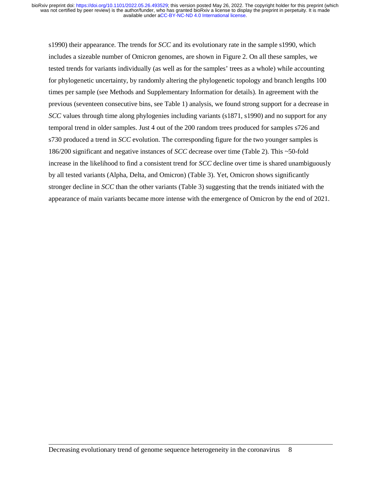s1990) their appearance. The trends for *SCC* and its evolutionary rate in the sample s1990, which includes a sizeable number of Omicron genomes, are shown in Figure 2. On all these samples, we tested trends for variants individually (as well as for the samples' trees as a whole) while accounting for phylogenetic uncertainty, by randomly altering the phylogenetic topology and branch lengths 100 times per sample (see Methods and Supplementary Information for details). In agreement with the previous (seventeen consecutive bins, see Table 1) analysis, we found strong support for a decrease in *SCC* values through time along phylogenies including variants (s1871, s1990) and no support for any temporal trend in older samples. Just 4 out of the 200 random trees produced for samples s726 and s730 produced a trend in *SCC* evolution. The corresponding figure for the two younger samples is 186/200 significant and negative instances of *SCC* decrease over time (Table 2). This ~50-fold increase in the likelihood to find a consistent trend for *SCC* decline over time is shared unambiguously by all tested variants (Alpha, Delta, and Omicron) (Table 3). Yet, Omicron shows significantly stronger decline in *SCC* than the other variants (Table 3) suggesting that the trends initiated with the appearance of main variants became more intense with the emergence of Omicron by the end of 2021.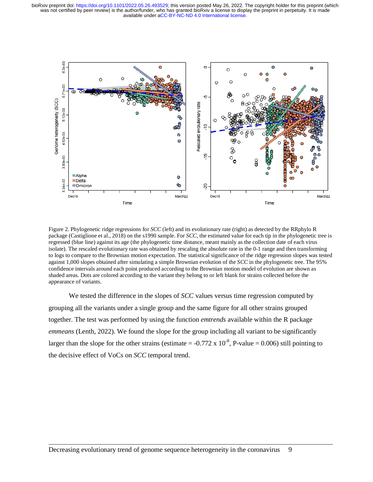

Figure 2. Phylogenetic ridge regressions for *SCC* (left) and its evolutionary rate (right) as detected by the RRphylo R package (Castiglione et al., 2018) on the s1990 sample. For *SCC*, the estimated value for each tip in the phylogenetic tree is regressed (blue line) against its age (the phylogenetic time distance, meant mainly as the collection date of each virus isolate). The rescaled evolutionary rate was obtained by rescaling the absolute rate in the 0-1 range and then transforming to logs to compare to the Brownian motion expectation. The statistical significance of the ridge regression slopes was tested against 1,000 slopes obtained after simulating a simple Brownian evolution of the *SCC* in the phylogenetic tree. The 95% confidence intervals around each point produced according to the Brownian motion model of evolution are shown as shaded areas. Dots are colored according to the variant they belong to or left blank for strains collected before the appearance of variants.

We tested the difference in the slopes of *SCC* values versus time regression computed by grouping all the variants under a single group and the same figure for all other strains grouped together. The test was performed by using the function *emtrends* available within the R package *emmeans* (Lenth, 2022). We found the slope for the group including all variant to be significantly larger than the slope for the other strains (estimate =  $-0.772 \times 10^{-8}$ , P-value = 0.006) still pointing to the decisive effect of VoCs on *SCC* temporal trend.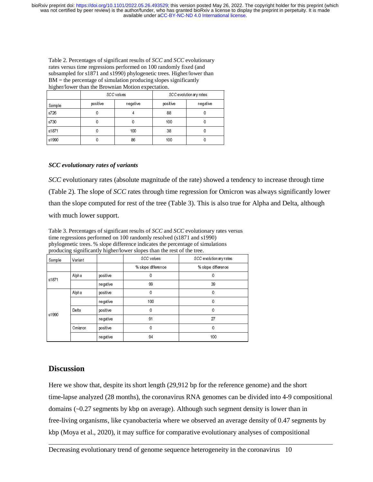Table 2. Percentages of significant results of *SCC* and *SCC* evolutionary rates versus time regressions performed on 100 randomly fixed (and subsampled for s1871 and s1990) phylogenetic trees. Higher/lower than  $BM =$  the percentage of simulation producing slopes significantly higher/lower than the Brownian Motion expectation.

|        |          | SCC values | SCC evolutionary rates |          |  |
|--------|----------|------------|------------------------|----------|--|
| Sample | positive | negative   | positive               | negative |  |
| s726   |          | 4          | 88                     |          |  |
| s730   |          | 0          | 100                    |          |  |
| s1871  |          | 100        | 38                     |          |  |
| s1990  |          | 86         | 100                    |          |  |

#### *SCC evolutionary rates of variants*

*SCC* evolutionary rates (absolute magnitude of the rate) showed a tendency to increase through time (Table 2). The slope of *SCC* rates through time regression for Omicron was always significantly lower than the slope computed for rest of the tree (Table 3). This is also true for Alpha and Delta, although with much lower support.

Table 3. Percentages of significant results of *SCC* and *SCC* evolutionary rates versus time regressions performed on 100 randomly resolved (s1871 and s1990) phylogenetic trees. % slope difference indicates the percentage of simulations producing significantly higher/lower slopes than the rest of the tree.

| Sample | Variant |          | SCC values         | SCC evolutionary rates |
|--------|---------|----------|--------------------|------------------------|
|        |         |          | % slope difference | % slope difference     |
| s1871  | Alpha   | positive | 0                  | 0                      |
|        |         | negative | 99                 | 39                     |
| s1990  | Alpha   | positive | 0                  | 0                      |
|        |         | negative | 100                | 0                      |
|        | Delta   | positive | 0                  | 0                      |
|        |         | negative | 91                 | 27                     |
|        | Omicron | positive | 0                  | 0                      |
|        |         | negative | 94                 | 100                    |

# **Discussion**

Here we show that, despite its short length (29,912 bp for the reference genome) and the short time-lapse analyzed (28 months), the coronavirus RNA genomes can be divided into 4-9 compositional domains (~0.27 segments by kbp on average). Although such segment density is lower than in free-living organisms, like cyanobacteria where we observed an average density of 0.47 segments by kbp (Moya et al., 2020), it may suffice for comparative evolutionary analyses of compositional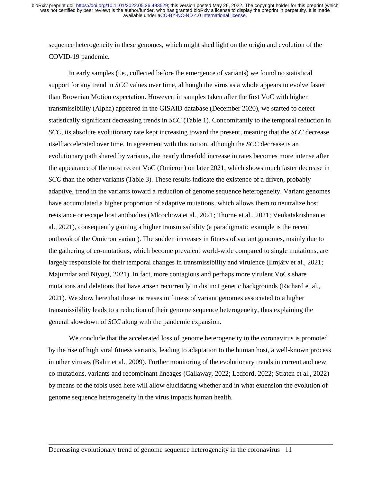sequence heterogeneity in these genomes, which might shed light on the origin and evolution of the COVID-19 pandemic.

In early samples (i.e., collected before the emergence of variants) we found no statistical support for any trend in *SCC* values over time, although the virus as a whole appears to evolve faster than Brownian Motion expectation. However, in samples taken after the first VoC with higher transmissibility (Alpha) appeared in the GISAID database (December 2020), we started to detect statistically significant decreasing trends in *SCC* (Table 1). Concomitantly to the temporal reduction in *SCC*, its absolute evolutionary rate kept increasing toward the present, meaning that the *SCC* decrease itself accelerated over time. In agreement with this notion, although the *SCC* decrease is an evolutionary path shared by variants, the nearly threefold increase in rates becomes more intense after the appearance of the most recent VoC (Omicron) on later 2021, which shows much faster decrease in *SCC* than the other variants (Table 3). These results indicate the existence of a driven, probably adaptive, trend in the variants toward a reduction of genome sequence heterogeneity. Variant genomes have accumulated a higher proportion of adaptive mutations, which allows them to neutralize host resistance or escape host antibodies (Mlcochova et al., 2021; Thorne et al., 2021; Venkatakrishnan et al., 2021), consequently gaining a higher transmissibility (a paradigmatic example is the recent outbreak of the Omicron variant). The sudden increases in fitness of variant genomes, mainly due to the gathering of co-mutations, which become prevalent world-wide compared to single mutations, are largely responsible for their temporal changes in transmissibility and virulence (Ilmjärv et al., 2021; Majumdar and Niyogi, 2021). In fact, more contagious and perhaps more virulent VoCs share mutations and deletions that have arisen recurrently in distinct genetic backgrounds (Richard et al., 2021). We show here that these increases in fitness of variant genomes associated to a higher transmissibility leads to a reduction of their genome sequence heterogeneity, thus explaining the general slowdown of *SCC* along with the pandemic expansion.

We conclude that the accelerated loss of genome heterogeneity in the coronavirus is promoted by the rise of high viral fitness variants, leading to adaptation to the human host, a well-known process in other viruses (Bahir et al., 2009). Further monitoring of the evolutionary trends in current and new co-mutations, variants and recombinant lineages (Callaway, 2022; Ledford, 2022; Straten et al., 2022) by means of the tools used here will allow elucidating whether and in what extension the evolution of genome sequence heterogeneity in the virus impacts human health.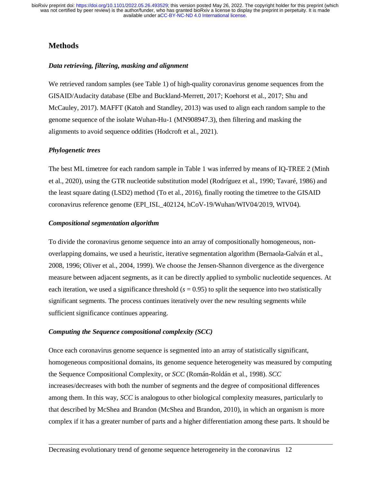# **Methods**

#### *Data retrieving, filtering, masking and alignment*

We retrieved random samples (see Table 1) of high-quality coronavirus genome sequences from the GISAID/Audacity database (Elbe and Buckland-Merrett, 2017; Koehorst et al., 2017; Shu and McCauley, 2017). MAFFT (Katoh and Standley, 2013) was used to align each random sample to the genome sequence of the isolate Wuhan-Hu-1 (MN908947.3), then filtering and masking the alignments to avoid sequence oddities (Hodcroft et al., 2021).

#### *Phylogenetic trees*

The best ML timetree for each random sample in Table 1 was inferred by means of IQ-TREE 2 (Minh et al., 2020), using the GTR nucleotide substitution model (Rodríguez et al., 1990; Tavaré, 1986) and the least square dating (LSD2) method (To et al., 2016), finally rooting the timetree to the GISAID coronavirus reference genome (EPI\_ISL\_402124, hCoV-19/Wuhan/WIV04/2019, WIV04).

#### *Compositional segmentation algorithm*

To divide the coronavirus genome sequence into an array of compositionally homogeneous, nonoverlapping domains, we used a heuristic, iterative segmentation algorithm (Bernaola-Galván et al., 2008, 1996; Oliver et al., 2004, 1999). We choose the Jensen-Shannon divergence as the divergence measure between adjacent segments, as it can be directly applied to symbolic nucleotide sequences. At each iteration, we used a significance threshold  $(s = 0.95)$  to split the sequence into two statistically significant segments. The process continues iteratively over the new resulting segments while sufficient significance continues appearing.

## *Computing the Sequence compositional complexity (SCC)*

Once each coronavirus genome sequence is segmented into an array of statistically significant, homogeneous compositional domains, its genome sequence heterogeneity was measured by computing the Sequence Compositional Complexity, or *SCC* (Román-Roldán et al., 1998). *SCC* increases/decreases with both the number of segments and the degree of compositional differences among them. In this way, *SCC* is analogous to other biological complexity measures, particularly to that described by McShea and Brandon (McShea and Brandon, 2010), in which an organism is more complex if it has a greater number of parts and a higher differentiation among these parts. It should be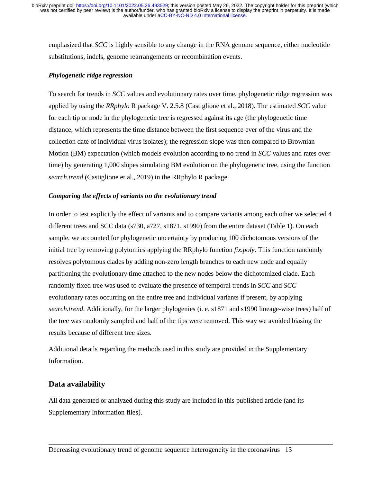emphasized that *SCC* is highly sensible to any change in the RNA genome sequence, either nucleotide substitutions, indels, genome rearrangements or recombination events.

#### *Phylogenetic ridge regression*

To search for trends in *SCC* values and evolutionary rates over time, phylogenetic ridge regression was applied by using the *RRphylo* R package V. 2.5.8 (Castiglione et al., 2018). The estimated *SCC* value for each tip or node in the phylogenetic tree is regressed against its age (the phylogenetic time distance, which represents the time distance between the first sequence ever of the virus and the collection date of individual virus isolates); the regression slope was then compared to Brownian Motion (BM) expectation (which models evolution according to no trend in *SCC* values and rates over time) by generating 1,000 slopes simulating BM evolution on the phylogenetic tree, using the function *search.trend* (Castiglione et al., 2019) in the RRphylo R package.

#### *Comparing the effects of variants on the evolutionary trend*

In order to test explicitly the effect of variants and to compare variants among each other we selected 4 different trees and SCC data (s730, a727, s1871, s1990) from the entire dataset (Table 1). On each sample, we accounted for phylogenetic uncertainty by producing 100 dichotomous versions of the initial tree by removing polytomies applying the RRphylo function *fix.poly*. This function randomly resolves polytomous clades by adding non-zero length branches to each new node and equally partitioning the evolutionary time attached to the new nodes below the dichotomized clade. Each randomly fixed tree was used to evaluate the presence of temporal trends in *SCC* and *SCC* evolutionary rates occurring on the entire tree and individual variants if present, by applying *search.trend*. Additionally, for the larger phylogenies (i. e. s1871 and s1990 lineage-wise trees) half of the tree was randomly sampled and half of the tips were removed. This way we avoided biasing the results because of different tree sizes.

Additional details regarding the methods used in this study are provided in the Supplementary Information.

## **Data availability**

All data generated or analyzed during this study are included in this published article (and its Supplementary Information files).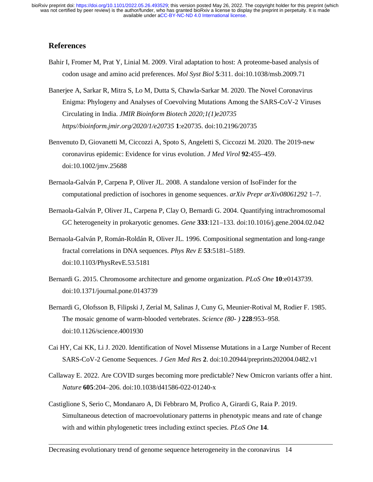## **References**

- Bahir I, Fromer M, Prat Y, Linial M. 2009. Viral adaptation to host: A proteome-based analysis of codon usage and amino acid preferences. *Mol Syst Biol* **5**:311. doi:10.1038/msb.2009.71
- Banerjee A, Sarkar R, Mitra S, Lo M, Dutta S, Chawla-Sarkar M. 2020. The Novel Coronavirus Enigma: Phylogeny and Analyses of Coevolving Mutations Among the SARS-CoV-2 Viruses Circulating in India. *JMIR Bioinform Biotech 2020;1(1)e20735 https//bioinform.jmir.org/2020/1/e20735* **1**:e20735. doi:10.2196/20735
- Benvenuto D, Giovanetti M, Ciccozzi A, Spoto S, Angeletti S, Ciccozzi M. 2020. The 2019-new coronavirus epidemic: Evidence for virus evolution. *J Med Virol* **92**:455–459. doi:10.1002/jmv.25688
- Bernaola-Galván P, Carpena P, Oliver JL. 2008. A standalone version of IsoFinder for the computational prediction of isochores in genome sequences. *arXiv Prepr arXiv08061292* 1–7.
- Bernaola-Galván P, Oliver JL, Carpena P, Clay O, Bernardi G. 2004. Quantifying intrachromosomal GC heterogeneity in prokaryotic genomes. *Gene* **333**:121–133. doi:10.1016/j.gene.2004.02.042
- Bernaola-Galván P, Román-Roldán R, Oliver JL. 1996. Compositional segmentation and long-range fractal correlations in DNA sequences. *Phys Rev E* **53**:5181–5189. doi:10.1103/PhysRevE.53.5181
- Bernardi G. 2015. Chromosome architecture and genome organization. *PLoS One* **10**:e0143739. doi:10.1371/journal.pone.0143739
- Bernardi G, Olofsson B, Filipski J, Zerial M, Salinas J, Cuny G, Meunier-Rotival M, Rodier F. 1985. The mosaic genome of warm-blooded vertebrates. *Science (80- )* **228**:953–958. doi:10.1126/science.4001930
- Cai HY, Cai KK, Li J. 2020. Identification of Novel Missense Mutations in a Large Number of Recent SARS-CoV-2 Genome Sequences. *J Gen Med Res* **2**. doi:10.20944/preprints202004.0482.v1
- Callaway E. 2022. Are COVID surges becoming more predictable? New Omicron variants offer a hint. *Nature* **605**:204–206. doi:10.1038/d41586-022-01240-x
- Castiglione S, Serio C, Mondanaro A, Di Febbraro M, Profico A, Girardi G, Raia P. 2019. Simultaneous detection of macroevolutionary patterns in phenotypic means and rate of change with and within phylogenetic trees including extinct species. *PLoS One* **14**.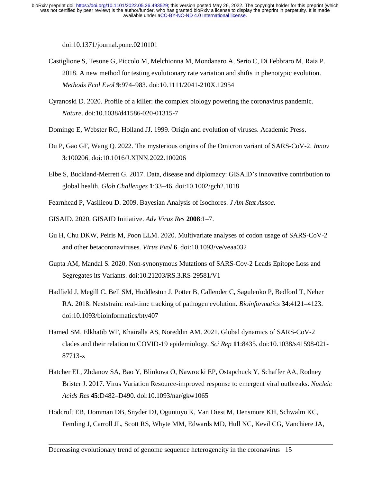doi:10.1371/journal.pone.0210101

- Castiglione S, Tesone G, Piccolo M, Melchionna M, Mondanaro A, Serio C, Di Febbraro M, Raia P. 2018. A new method for testing evolutionary rate variation and shifts in phenotypic evolution. *Methods Ecol Evol* **9**:974–983. doi:10.1111/2041-210X.12954
- Cyranoski D. 2020. Profile of a killer: the complex biology powering the coronavirus pandemic. *Nature*. doi:10.1038/d41586-020-01315-7
- Domingo E, Webster RG, Holland JJ. 1999. Origin and evolution of viruses. Academic Press.
- Du P, Gao GF, Wang Q. 2022. The mysterious origins of the Omicron variant of SARS-CoV-2. *Innov* **3**:100206. doi:10.1016/J.XINN.2022.100206
- Elbe S, Buckland-Merrett G. 2017. Data, disease and diplomacy: GISAID's innovative contribution to global health. *Glob Challenges* **1**:33–46. doi:10.1002/gch2.1018
- Fearnhead P, Vasilieou D. 2009. Bayesian Analysis of Isochores. *J Am Stat Assoc*.
- GISAID. 2020. GISAID Initiative. *Adv Virus Res* **2008**:1–7.
- Gu H, Chu DKW, Peiris M, Poon LLM. 2020. Multivariate analyses of codon usage of SARS-CoV-2 and other betacoronaviruses. *Virus Evol* **6**. doi:10.1093/ve/veaa032
- Gupta AM, Mandal S. 2020. Non-synonymous Mutations of SARS-Cov-2 Leads Epitope Loss and Segregates its Variants. doi:10.21203/RS.3.RS-29581/V1
- Hadfield J, Megill C, Bell SM, Huddleston J, Potter B, Callender C, Sagulenko P, Bedford T, Neher RA. 2018. Nextstrain: real-time tracking of pathogen evolution. *Bioinformatics* **34**:4121–4123. doi:10.1093/bioinformatics/bty407
- Hamed SM, Elkhatib WF, Khairalla AS, Noreddin AM. 2021. Global dynamics of SARS-CoV-2 clades and their relation to COVID-19 epidemiology. *Sci Rep* **11**:8435. doi:10.1038/s41598-021- 87713-x
- Hatcher EL, Zhdanov SA, Bao Y, Blinkova O, Nawrocki EP, Ostapchuck Y, Schaffer AA, Rodney Brister J. 2017. Virus Variation Resource-improved response to emergent viral outbreaks. *Nucleic Acids Res* **45**:D482–D490. doi:10.1093/nar/gkw1065
- Hodcroft EB, Domman DB, Snyder DJ, Oguntuyo K, Van Diest M, Densmore KH, Schwalm KC, Femling J, Carroll JL, Scott RS, Whyte MM, Edwards MD, Hull NC, Kevil CG, Vanchiere JA,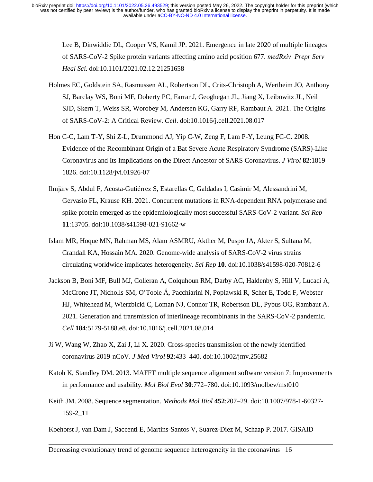Lee B, Dinwiddie DL, Cooper VS, Kamil JP. 2021. Emergence in late 2020 of multiple lineages of SARS-CoV-2 Spike protein variants affecting amino acid position 677. *medRxiv Prepr Serv Heal Sci*. doi:10.1101/2021.02.12.21251658

- Holmes EC, Goldstein SA, Rasmussen AL, Robertson DL, Crits-Christoph A, Wertheim JO, Anthony SJ, Barclay WS, Boni MF, Doherty PC, Farrar J, Geoghegan JL, Jiang X, Leibowitz JL, Neil SJD, Skern T, Weiss SR, Worobey M, Andersen KG, Garry RF, Rambaut A. 2021. The Origins of SARS-CoV-2: A Critical Review. *Cell*. doi:10.1016/j.cell.2021.08.017
- Hon C-C, Lam T-Y, Shi Z-L, Drummond AJ, Yip C-W, Zeng F, Lam P-Y, Leung FC-C. 2008. Evidence of the Recombinant Origin of a Bat Severe Acute Respiratory Syndrome (SARS)-Like Coronavirus and Its Implications on the Direct Ancestor of SARS Coronavirus. *J Virol* **82**:1819– 1826. doi:10.1128/jvi.01926-07
- Ilmjärv S, Abdul F, Acosta-Gutiérrez S, Estarellas C, Galdadas I, Casimir M, Alessandrini M, Gervasio FL, Krause KH. 2021. Concurrent mutations in RNA-dependent RNA polymerase and spike protein emerged as the epidemiologically most successful SARS-CoV-2 variant. *Sci Rep* **11**:13705. doi:10.1038/s41598-021-91662-w
- Islam MR, Hoque MN, Rahman MS, Alam ASMRU, Akther M, Puspo JA, Akter S, Sultana M, Crandall KA, Hossain MA. 2020. Genome-wide analysis of SARS-CoV-2 virus strains circulating worldwide implicates heterogeneity. *Sci Rep* **10**. doi:10.1038/s41598-020-70812-6
- Jackson B, Boni MF, Bull MJ, Colleran A, Colquhoun RM, Darby AC, Haldenby S, Hill V, Lucaci A, McCrone JT, Nicholls SM, O'Toole Á, Pacchiarini N, Poplawski R, Scher E, Todd F, Webster HJ, Whitehead M, Wierzbicki C, Loman NJ, Connor TR, Robertson DL, Pybus OG, Rambaut A. 2021. Generation and transmission of interlineage recombinants in the SARS-CoV-2 pandemic. *Cell* **184**:5179-5188.e8. doi:10.1016/j.cell.2021.08.014
- Ji W, Wang W, Zhao X, Zai J, Li X. 2020. Cross-species transmission of the newly identified coronavirus 2019-nCoV. *J Med Virol* **92**:433–440. doi:10.1002/jmv.25682
- Katoh K, Standley DM. 2013. MAFFT multiple sequence alignment software version 7: Improvements in performance and usability. *Mol Biol Evol* **30**:772–780. doi:10.1093/molbev/mst010
- Keith JM. 2008. Sequence segmentation. *Methods Mol Biol* **452**:207–29. doi:10.1007/978-1-60327- 159-2\_11

Koehorst J, van Dam J, Saccenti E, Martins-Santos V, Suarez-Diez M, Schaap P. 2017. GISAID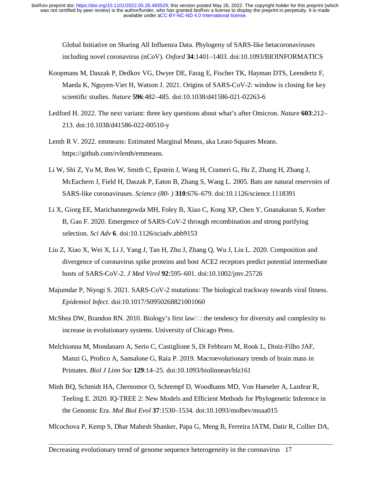Global Initiative on Sharing All Influenza Data. Phylogeny of SARS-like betacoronaviruses including novel coronavirus (nCoV). *Oxford* **34**:1401–1403. doi:10.1093/BIOINFORMATICS

- Koopmans M, Daszak P, Dedkov VG, Dwyer DE, Farag E, Fischer TK, Hayman DTS, Leendertz F, Maeda K, Nguyen-Viet H, Watson J. 2021. Origins of SARS-CoV-2: window is closing for key scientific studies. *Nature* **596**:482–485. doi:10.1038/d41586-021-02263-6
- Ledford H. 2022. The next variant: three key questions about what's after Omicron. *Nature* **603**:212– 213. doi:10.1038/d41586-022-00510-y
- Lenth R V. 2022. emmeans: Estimated Marginal Means, aka Least-Squares Means. https://github.com/rvlenth/emmeans.
- Li W, Shi Z, Yu M, Ren W, Smith C, Epstein J, Wang H, Crameri G, Hu Z, Zhang H, Zhang J, McEachern J, Field H, Daszak P, Eaton B, Zhang S, Wang L. 2005. Bats are natural reservoirs of SARS-like coronaviruses. *Science (80- )* **310**:676–679. doi:10.1126/science.1118391
- Li X, Giorg EE, Marichannegowda MH, Foley B, Xiao C, Kong XP, Chen Y, Gnanakaran S, Korber B, Gao F. 2020. Emergence of SARS-CoV-2 through recombination and strong purifying selection. *Sci Adv* **6**. doi:10.1126/sciadv.abb9153
- Liu Z, Xiao X, Wei X, Li J, Yang J, Tan H, Zhu J, Zhang Q, Wu J, Liu L. 2020. Composition and divergence of coronavirus spike proteins and host ACE2 receptors predict potential intermediate hosts of SARS-CoV-2. *J Med Virol* **92**:595–601. doi:10.1002/jmv.25726
- Majumdar P, Niyogi S. 2021. SARS-CoV-2 mutations: The biological trackway towards viral fitness. *Epidemiol Infect*. doi:10.1017/S0950268821001060
- McShea DW, Brandon RN. 2010. Biology's first law $\Box$ : the tendency for diversity and complexity to increase in evolutionary systems. University of Chicago Press.
- Melchionna M, Mondanaro A, Serio C, Castiglione S, Di Febbraro M, Rook L, Diniz-Filho JAF, Manzi G, Profico A, Sansalone G, Raia P. 2019. Macroevolutionary trends of brain mass in Primates. *Biol J Linn Soc* **129**:14–25. doi:10.1093/biolinnean/blz161
- Minh BQ, Schmidt HA, Chernomor O, Schrempf D, Woodhams MD, Von Haeseler A, Lanfear R, Teeling E. 2020. IQ-TREE 2: New Models and Efficient Methods for Phylogenetic Inference in the Genomic Era. *Mol Biol Evol* **37**:1530–1534. doi:10.1093/molbev/msaa015

Mlcochova P, Kemp S, Dhar Mahesh Shanker, Papa G, Meng B, Ferreira IATM, Datir R, Collier DA,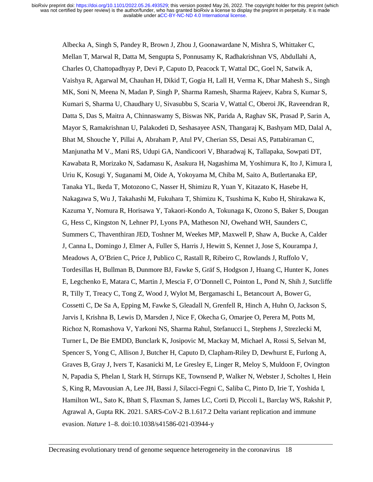Albecka A, Singh S, Pandey R, Brown J, Zhou J, Goonawardane N, Mishra S, Whittaker C, Mellan T, Marwal R, Datta M, Sengupta S, Ponnusamy K, Radhakrishnan VS, Abdullahi A, Charles O, Chattopadhyay P, Devi P, Caputo D, Peacock T, Wattal DC, Goel N, Satwik A, Vaishya R, Agarwal M, Chauhan H, Dikid T, Gogia H, Lall H, Verma K, Dhar Mahesh S., Singh MK, Soni N, Meena N, Madan P, Singh P, Sharma Ramesh, Sharma Rajeev, Kabra S, Kumar S, Kumari S, Sharma U, Chaudhary U, Sivasubbu S, Scaria V, Wattal C, Oberoi JK, Raveendran R, Datta S, Das S, Maitra A, Chinnaswamy S, Biswas NK, Parida A, Raghav SK, Prasad P, Sarin A, Mayor S, Ramakrishnan U, Palakodeti D, Seshasayee ASN, Thangaraj K, Bashyam MD, Dalal A, Bhat M, Shouche Y, Pillai A, Abraham P, Atul PV, Cherian SS, Desai AS, Pattabiraman C, Manjunatha M V., Mani RS, Udupi GA, Nandicoori V, Bharadwaj K, Tallapaka, Sowpati DT, Kawabata R, Morizako N, Sadamasu K, Asakura H, Nagashima M, Yoshimura K, Ito J, Kimura I, Uriu K, Kosugi Y, Suganami M, Oide A, Yokoyama M, Chiba M, Saito A, Butlertanaka EP, Tanaka YL, Ikeda T, Motozono C, Nasser H, Shimizu R, Yuan Y, Kitazato K, Hasebe H, Nakagawa S, Wu J, Takahashi M, Fukuhara T, Shimizu K, Tsushima K, Kubo H, Shirakawa K, Kazuma Y, Nomura R, Horisawa Y, Takaori-Kondo A, Tokunaga K, Ozono S, Baker S, Dougan G, Hess C, Kingston N, Lehner PJ, Lyons PA, Matheson NJ, Owehand WH, Saunders C, Summers C, Thaventhiran JED, Toshner M, Weekes MP, Maxwell P, Shaw A, Bucke A, Calder J, Canna L, Domingo J, Elmer A, Fuller S, Harris J, Hewitt S, Kennet J, Jose S, Kourampa J, Meadows A, O'Brien C, Price J, Publico C, Rastall R, Ribeiro C, Rowlands J, Ruffolo V, Tordesillas H, Bullman B, Dunmore BJ, Fawke S, Gräf S, Hodgson J, Huang C, Hunter K, Jones E, Legchenko E, Matara C, Martin J, Mescia F, O'Donnell C, Pointon L, Pond N, Shih J, Sutcliffe R, Tilly T, Treacy C, Tong Z, Wood J, Wylot M, Bergamaschi L, Betancourt A, Bower G, Cossetti C, De Sa A, Epping M, Fawke S, Gleadall N, Grenfell R, Hinch A, Huhn O, Jackson S, Jarvis I, Krishna B, Lewis D, Marsden J, Nice F, Okecha G, Omarjee O, Perera M, Potts M, Richoz N, Romashova V, Yarkoni NS, Sharma Rahul, Stefanucci L, Stephens J, Strezlecki M, Turner L, De Bie EMDD, Bunclark K, Josipovic M, Mackay M, Michael A, Rossi S, Selvan M, Spencer S, Yong C, Allison J, Butcher H, Caputo D, Clapham-Riley D, Dewhurst E, Furlong A, Graves B, Gray J, Ivers T, Kasanicki M, Le Gresley E, Linger R, Meloy S, Muldoon F, Ovington N, Papadia S, Phelan I, Stark H, Stirrups KE, Townsend P, Walker N, Webster J, Scholtes I, Hein S, King R, Mavousian A, Lee JH, Bassi J, Silacci-Fegni C, Saliba C, Pinto D, Irie T, Yoshida I, Hamilton WL, Sato K, Bhatt S, Flaxman S, James LC, Corti D, Piccoli L, Barclay WS, Rakshit P, Agrawal A, Gupta RK. 2021. SARS-CoV-2 B.1.617.2 Delta variant replication and immune evasion. *Nature* 1–8. doi:10.1038/s41586-021-03944-y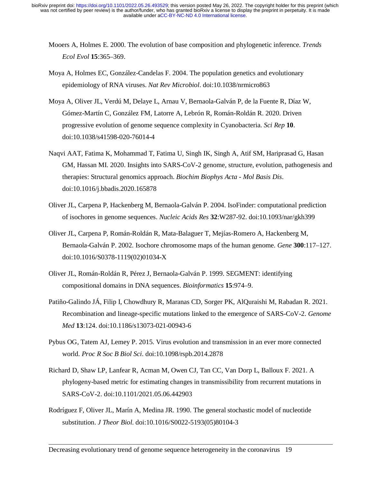- Mooers A, Holmes E. 2000. The evolution of base composition and phylogenetic inference. *Trends Ecol Evol* **15**:365–369.
- Moya A, Holmes EC, González-Candelas F. 2004. The population genetics and evolutionary epidemiology of RNA viruses. *Nat Rev Microbiol*. doi:10.1038/nrmicro863
- Moya A, Oliver JL, Verdú M, Delaye L, Arnau V, Bernaola-Galván P, de la Fuente R, Díaz W, Gómez-Martín C, González FM, Latorre A, Lebrón R, Román-Roldán R. 2020. Driven progressive evolution of genome sequence complexity in Cyanobacteria. *Sci Rep* **10**. doi:10.1038/s41598-020-76014-4
- Naqvi AAT, Fatima K, Mohammad T, Fatima U, Singh IK, Singh A, Atif SM, Hariprasad G, Hasan GM, Hassan MI. 2020. Insights into SARS-CoV-2 genome, structure, evolution, pathogenesis and therapies: Structural genomics approach. *Biochim Biophys Acta - Mol Basis Dis*. doi:10.1016/j.bbadis.2020.165878
- Oliver JL, Carpena P, Hackenberg M, Bernaola-Galván P. 2004. IsoFinder: computational prediction of isochores in genome sequences. *Nucleic Acids Res* **32**:W287-92. doi:10.1093/nar/gkh399
- Oliver JL, Carpena P, Román-Roldán R, Mata-Balaguer T, Mejías-Romero A, Hackenberg M, Bernaola-Galván P. 2002. Isochore chromosome maps of the human genome. *Gene* **300**:117–127. doi:10.1016/S0378-1119(02)01034-X
- Oliver JL, Román-Roldán R, Pérez J, Bernaola-Galván P. 1999. SEGMENT: identifying compositional domains in DNA sequences. *Bioinformatics* **15**:974–9.
- Patiño-Galindo JÁ, Filip I, Chowdhury R, Maranas CD, Sorger PK, AlQuraishi M, Rabadan R. 2021. Recombination and lineage-specific mutations linked to the emergence of SARS-CoV-2. *Genome Med* **13**:124. doi:10.1186/s13073-021-00943-6
- Pybus OG, Tatem AJ, Lemey P. 2015. Virus evolution and transmission in an ever more connected world. *Proc R Soc B Biol Sci*. doi:10.1098/rspb.2014.2878
- Richard D, Shaw LP, Lanfear R, Acman M, Owen CJ, Tan CC, Van Dorp L, Balloux F. 2021. A phylogeny-based metric for estimating changes in transmissibility from recurrent mutations in SARS-CoV-2. doi:10.1101/2021.05.06.442903
- Rodríguez F, Oliver JL, Marín A, Medina JR. 1990. The general stochastic model of nucleotide substitution. *J Theor Biol*. doi:10.1016/S0022-5193(05)80104-3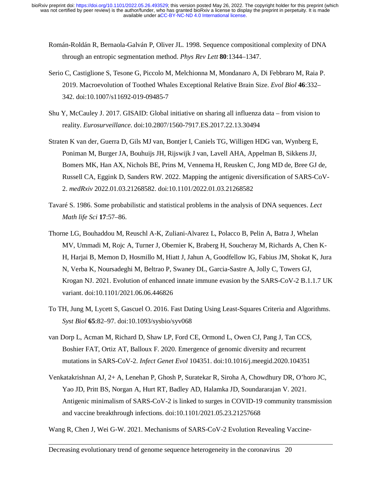- Román-Roldán R, Bernaola-Galván P, Oliver JL. 1998. Sequence compositional complexity of DNA through an entropic segmentation method. *Phys Rev Lett* **80**:1344–1347.
- Serio C, Castiglione S, Tesone G, Piccolo M, Melchionna M, Mondanaro A, Di Febbraro M, Raia P. 2019. Macroevolution of Toothed Whales Exceptional Relative Brain Size. *Evol Biol* **46**:332– 342. doi:10.1007/s11692-019-09485-7
- Shu Y, McCauley J. 2017. GISAID: Global initiative on sharing all influenza data from vision to reality. *Eurosurveillance*. doi:10.2807/1560-7917.ES.2017.22.13.30494
- Straten K van der, Guerra D, Gils MJ van, Bontjer I, Caniels TG, Willigen HDG van, Wynberg E, Poniman M, Burger JA, Bouhuijs JH, Rijswijk J van, Lavell AHA, Appelman B, Sikkens JJ, Bomers MK, Han AX, Nichols BE, Prins M, Vennema H, Reusken C, Jong MD de, Bree GJ de, Russell CA, Eggink D, Sanders RW. 2022. Mapping the antigenic diversification of SARS-CoV-2. *medRxiv* 2022.01.03.21268582. doi:10.1101/2022.01.03.21268582
- Tavaré S. 1986. Some probabilistic and statistical problems in the analysis of DNA sequences. *Lect Math life Sci* **17**:57–86.
- Thorne LG, Bouhaddou M, Reuschl A-K, Zuliani-Alvarez L, Polacco B, Pelin A, Batra J, Whelan MV, Ummadi M, Rojc A, Turner J, Obernier K, Braberg H, Soucheray M, Richards A, Chen K-H, Harjai B, Memon D, Hosmillo M, Hiatt J, Jahun A, Goodfellow IG, Fabius JM, Shokat K, Jura N, Verba K, Noursadeghi M, Beltrao P, Swaney DL, Garcia-Sastre A, Jolly C, Towers GJ, Krogan NJ. 2021. Evolution of enhanced innate immune evasion by the SARS-CoV-2 B.1.1.7 UK variant. doi:10.1101/2021.06.06.446826
- To TH, Jung M, Lycett S, Gascuel O. 2016. Fast Dating Using Least-Squares Criteria and Algorithms. *Syst Biol* **65**:82–97. doi:10.1093/sysbio/syv068
- van Dorp L, Acman M, Richard D, Shaw LP, Ford CE, Ormond L, Owen CJ, Pang J, Tan CCS, Boshier FAT, Ortiz AT, Balloux F. 2020. Emergence of genomic diversity and recurrent mutations in SARS-CoV-2. *Infect Genet Evol* 104351. doi:10.1016/j.meegid.2020.104351
- Venkatakrishnan AJ, 2+ A, Lenehan P, Ghosh P, Suratekar R, Siroha A, Chowdhury DR, O'horo JC, Yao JD, Pritt BS, Norgan A, Hurt RT, Badley AD, Halamka JD, Soundararajan V. 2021. Antigenic minimalism of SARS-CoV-2 is linked to surges in COVID-19 community transmission and vaccine breakthrough infections. doi:10.1101/2021.05.23.21257668

Wang R, Chen J, Wei G-W. 2021. Mechanisms of SARS-CoV-2 Evolution Revealing Vaccine-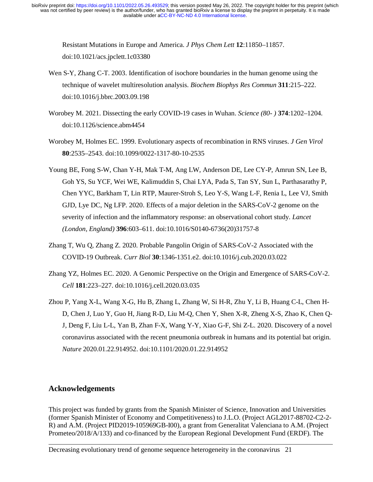Resistant Mutations in Europe and America. *J Phys Chem Lett* **12**:11850–11857. doi:10.1021/acs.jpclett.1c03380

- Wen S-Y, Zhang C-T. 2003. Identification of isochore boundaries in the human genome using the technique of wavelet multiresolution analysis. *Biochem Biophys Res Commun* **311**:215–222. doi:10.1016/j.bbrc.2003.09.198
- Worobey M. 2021. Dissecting the early COVID-19 cases in Wuhan. *Science (80- )* **374**:1202–1204. doi:10.1126/science.abm4454
- Worobey M, Holmes EC. 1999. Evolutionary aspects of recombination in RNS viruses. *J Gen Virol* **80**:2535–2543. doi:10.1099/0022-1317-80-10-2535
- Young BE, Fong S-W, Chan Y-H, Mak T-M, Ang LW, Anderson DE, Lee CY-P, Amrun SN, Lee B, Goh YS, Su YCF, Wei WE, Kalimuddin S, Chai LYA, Pada S, Tan SY, Sun L, Parthasarathy P, Chen YYC, Barkham T, Lin RTP, Maurer-Stroh S, Leo Y-S, Wang L-F, Renia L, Lee VJ, Smith GJD, Lye DC, Ng LFP. 2020. Effects of a major deletion in the SARS-CoV-2 genome on the severity of infection and the inflammatory response: an observational cohort study. *Lancet (London, England)* **396**:603–611. doi:10.1016/S0140-6736(20)31757-8
- Zhang T, Wu Q, Zhang Z. 2020. Probable Pangolin Origin of SARS-CoV-2 Associated with the COVID-19 Outbreak. *Curr Biol* **30**:1346-1351.e2. doi:10.1016/j.cub.2020.03.022
- Zhang YZ, Holmes EC. 2020. A Genomic Perspective on the Origin and Emergence of SARS-CoV-2. *Cell* **181**:223–227. doi:10.1016/j.cell.2020.03.035
- Zhou P, Yang X-L, Wang X-G, Hu B, Zhang L, Zhang W, Si H-R, Zhu Y, Li B, Huang C-L, Chen H-D, Chen J, Luo Y, Guo H, Jiang R-D, Liu M-Q, Chen Y, Shen X-R, Zheng X-S, Zhao K, Chen Q-J, Deng F, Liu L-L, Yan B, Zhan F-X, Wang Y-Y, Xiao G-F, Shi Z-L. 2020. Discovery of a novel coronavirus associated with the recent pneumonia outbreak in humans and its potential bat origin. *Nature* 2020.01.22.914952. doi:10.1101/2020.01.22.914952

# **Acknowledgements**

This project was funded by grants from the Spanish Minister of Science, Innovation and Universities (former Spanish Minister of Economy and Competitiveness) to J.L.O. (Project AGL2017-88702-C2-2- R) and A.M. (Project PID2019-105969GB-I00), a grant from Generalitat Valenciana to A.M. (Project Prometeo/2018/A/133) and co-financed by the European Regional Development Fund (ERDF). The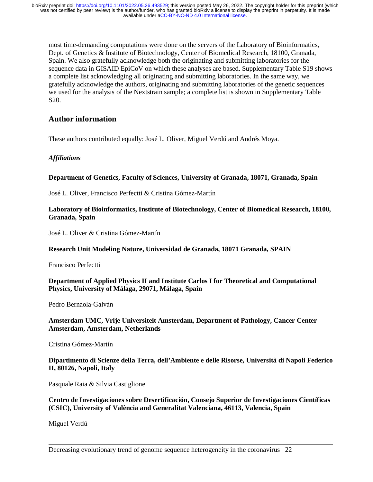most time-demanding computations were done on the servers of the Laboratory of Bioinformatics, Dept. of Genetics & Institute of Biotechnology, Center of Biomedical Research, 18100, Granada, Spain. We also gratefully acknowledge both the originating and submitting laboratories for the sequence data in GISAID EpiCoV on which these analyses are based. Supplementary Table S19 shows a complete list acknowledging all originating and submitting laboratories. In the same way, we gratefully acknowledge the authors, originating and submitting laboratories of the genetic sequences we used for the analysis of the Nextstrain sample; a complete list is shown in Supplementary Table S20.

# **Author information**

These authors contributed equally: José L. Oliver, Miguel Verdú and Andrés Moya.

## *Affiliations*

#### **Department of Genetics, Faculty of Sciences, University of Granada, 18071, Granada, Spain**

José L. Oliver, Francisco Perfectti & Cristina Gómez-Martín

#### **Laboratory of Bioinformatics, Institute of Biotechnology, Center of Biomedical Research, 18100, Granada, Spain**

José L. Oliver & Cristina Gómez-Martín

## **Research Unit Modeling Nature, Universidad de Granada, 18071 Granada, SPAIN**

Francisco Perfectti

## **Department of Applied Physics II and Institute Carlos I for Theoretical and Computational Physics, University of Málaga, 29071, Málaga, Spain**

Pedro Bernaola-Galván

**Amsterdam UMC, Vrije Universiteit Amsterdam, Department of Pathology, Cancer Center Amsterdam, Amsterdam, Netherlands** 

Cristina Gómez-Martín

## **Dipartimento di Scienze della Terra, dell'Ambiente e delle Risorse, Università di Napoli Federico II, 80126, Napoli, Italy**

Pasquale Raia & Silvia Castiglione

**Centro de Investigaciones sobre Desertificación, Consejo Superior de Investigaciones Científicas (CSIC), University of València and Generalitat Valenciana, 46113, Valencia, Spain** 

Miguel Verdú